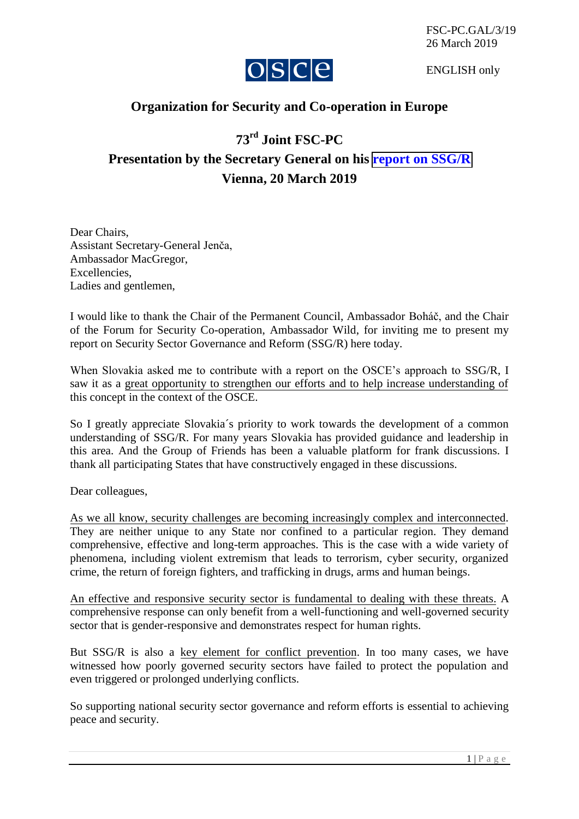

ENGLISH only

## **Organization for Security and Co-operation in Europe**

## **73rd Joint FSC-PC**

**Presentation by the Secretary General on his [report on SSG/R](https://www.osce.org/secretary-general/414725?download=true) Vienna, 20 March 2019** 

Dear Chairs, Assistant Secretary-General Jenča, Ambassador MacGregor, Excellencies, Ladies and gentlemen,

I would like to thank the Chair of the Permanent Council, Ambassador Boháč, and the Chair of the Forum for Security Co-operation, Ambassador Wild, for inviting me to present my report on Security Sector Governance and Reform (SSG/R) here today.

When Slovakia asked me to contribute with a report on the OSCE's approach to SSG/R, I saw it as a great opportunity to strengthen our efforts and to help increase understanding of this concept in the context of the OSCE.

So I greatly appreciate Slovakia´s priority to work towards the development of a common understanding of SSG/R. For many years Slovakia has provided guidance and leadership in this area. And the Group of Friends has been a valuable platform for frank discussions. I thank all participating States that have constructively engaged in these discussions.

Dear colleagues,

As we all know, security challenges are becoming increasingly complex and interconnected. They are neither unique to any State nor confined to a particular region. They demand comprehensive, effective and long-term approaches. This is the case with a wide variety of phenomena, including violent extremism that leads to terrorism, cyber security, organized crime, the return of foreign fighters, and trafficking in drugs, arms and human beings.

An effective and responsive security sector is fundamental to dealing with these threats. A comprehensive response can only benefit from a well-functioning and well-governed security sector that is gender-responsive and demonstrates respect for human rights.

But SSG/R is also a key element for conflict prevention. In too many cases, we have witnessed how poorly governed security sectors have failed to protect the population and even triggered or prolonged underlying conflicts.

So supporting national security sector governance and reform efforts is essential to achieving peace and security.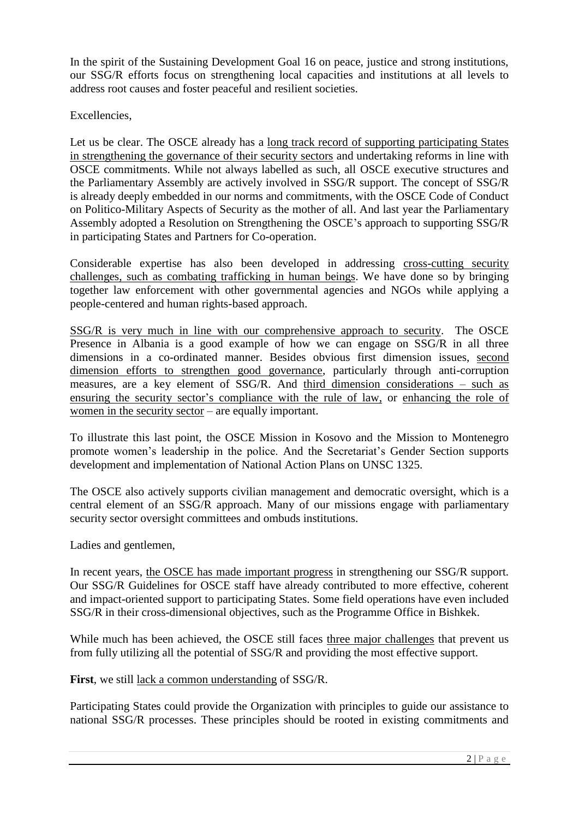In the spirit of the Sustaining Development Goal 16 on peace, justice and strong institutions, our SSG/R efforts focus on strengthening local capacities and institutions at all levels to address root causes and foster peaceful and resilient societies.

Excellencies,

Let us be clear. The OSCE already has a <u>long track record of supporting participating States</u> in strengthening the governance of their security sectors and undertaking reforms in line with OSCE commitments. While not always labelled as such, all OSCE executive structures and the Parliamentary Assembly are actively involved in SSG/R support. The concept of SSG/R is already deeply embedded in our norms and commitments, with the OSCE Code of Conduct on Politico-Military Aspects of Security as the mother of all. And last year the Parliamentary Assembly adopted a Resolution on Strengthening the OSCE's approach to supporting SSG/R in participating States and Partners for Co-operation.

Considerable expertise has also been developed in addressing cross-cutting security challenges, such as combating trafficking in human beings. We have done so by bringing together law enforcement with other governmental agencies and NGOs while applying a people-centered and human rights-based approach.

SSG/R is very much in line with our comprehensive approach to security. The OSCE Presence in Albania is a good example of how we can engage on SSG/R in all three dimensions in a co-ordinated manner. Besides obvious first dimension issues, second dimension efforts to strengthen good governance, particularly through anti-corruption measures, are a key element of SSG/R. And third dimension considerations – such as ensuring the security sector's compliance with the rule of law, or enhancing the role of women in the security sector – are equally important.

To illustrate this last point, the OSCE Mission in Kosovo and the Mission to Montenegro promote women's leadership in the police. And the Secretariat's Gender Section supports development and implementation of National Action Plans on UNSC 1325.

The OSCE also actively supports civilian management and democratic oversight, which is a central element of an SSG/R approach. Many of our missions engage with parliamentary security sector oversight committees and ombuds institutions.

Ladies and gentlemen,

In recent years, the OSCE has made important progress in strengthening our SSG/R support. Our SSG/R Guidelines for OSCE staff have already contributed to more effective, coherent and impact-oriented support to participating States. Some field operations have even included SSG/R in their cross-dimensional objectives, such as the Programme Office in Bishkek.

While much has been achieved, the OSCE still faces three major challenges that prevent us from fully utilizing all the potential of SSG/R and providing the most effective support.

**First**, we still lack a common understanding of SSG/R.

Participating States could provide the Organization with principles to guide our assistance to national SSG/R processes. These principles should be rooted in existing commitments and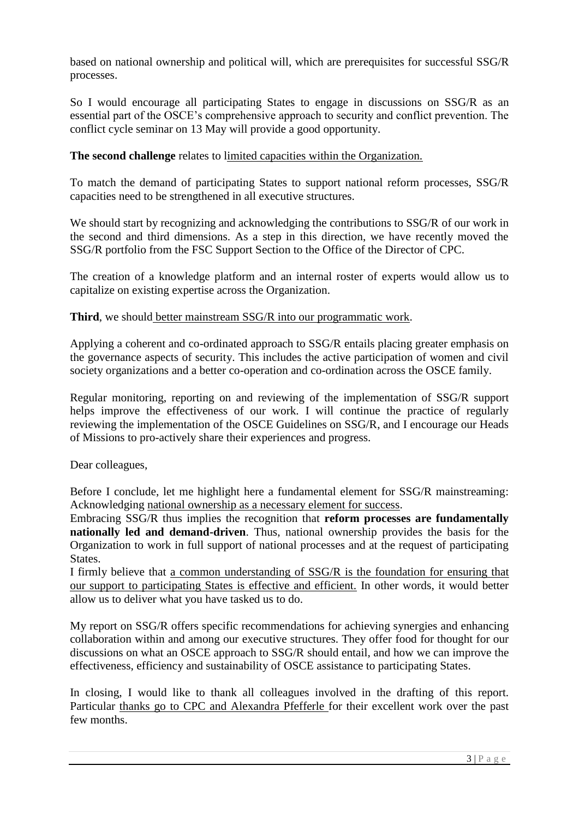based on national ownership and political will, which are prerequisites for successful SSG/R processes.

So I would encourage all participating States to engage in discussions on SSG/R as an essential part of the OSCE's comprehensive approach to security and conflict prevention. The conflict cycle seminar on 13 May will provide a good opportunity.

## **The second challenge** relates to limited capacities within the Organization.

To match the demand of participating States to support national reform processes, SSG/R capacities need to be strengthened in all executive structures.

We should start by recognizing and acknowledging the contributions to SSG/R of our work in the second and third dimensions. As a step in this direction, we have recently moved the SSG/R portfolio from the FSC Support Section to the Office of the Director of CPC.

The creation of a knowledge platform and an internal roster of experts would allow us to capitalize on existing expertise across the Organization.

## **Third**, we should better mainstream SSG/R into our programmatic work.

Applying a coherent and co-ordinated approach to SSG/R entails placing greater emphasis on the governance aspects of security. This includes the active participation of women and civil society organizations and a better co-operation and co-ordination across the OSCE family.

Regular monitoring, reporting on and reviewing of the implementation of SSG/R support helps improve the effectiveness of our work. I will continue the practice of regularly reviewing the implementation of the OSCE Guidelines on SSG/R, and I encourage our Heads of Missions to pro-actively share their experiences and progress.

Dear colleagues,

Before I conclude, let me highlight here a fundamental element for SSG/R mainstreaming: Acknowledging national ownership as a necessary element for success.

Embracing SSG/R thus implies the recognition that **reform processes are fundamentally nationally led and demand-driven**. Thus, national ownership provides the basis for the Organization to work in full support of national processes and at the request of participating States.

I firmly believe that a common understanding of SSG/R is the foundation for ensuring that our support to participating States is effective and efficient. In other words, it would better allow us to deliver what you have tasked us to do.

My report on SSG/R offers specific recommendations for achieving synergies and enhancing collaboration within and among our executive structures. They offer food for thought for our discussions on what an OSCE approach to SSG/R should entail, and how we can improve the effectiveness, efficiency and sustainability of OSCE assistance to participating States.

In closing, I would like to thank all colleagues involved in the drafting of this report. Particular thanks go to CPC and Alexandra Pfefferle for their excellent work over the past few months.